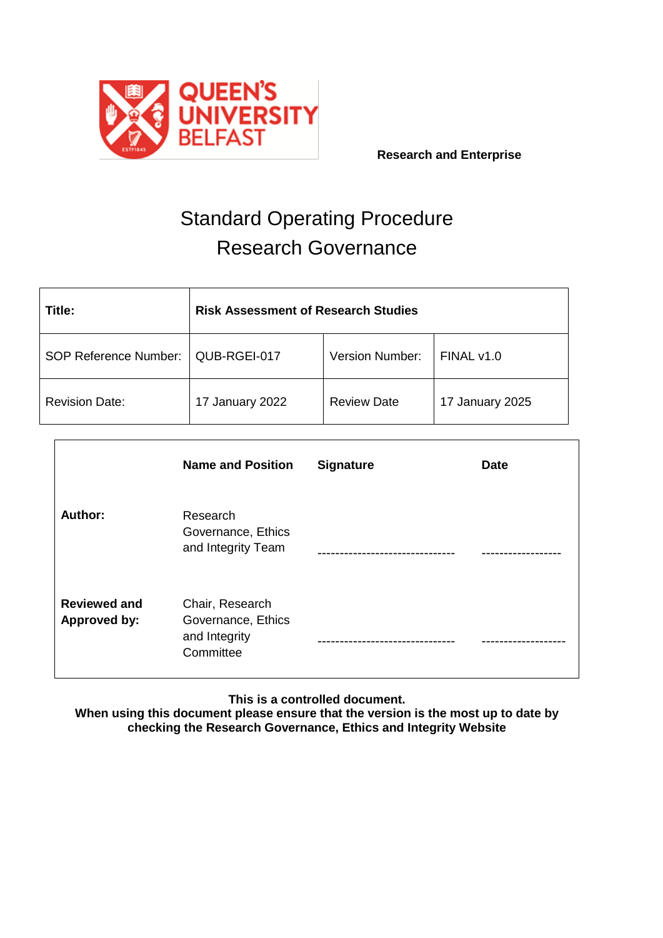

 **Research and Enterprise**

# Standard Operating Procedure Research Governance

| Title:                       | <b>Risk Assessment of Research Studies</b> |                    |                 |  |  |
|------------------------------|--------------------------------------------|--------------------|-----------------|--|--|
| <b>SOP Reference Number:</b> | QUB-RGEI-017                               | FINAL v1.0         |                 |  |  |
| <b>Revision Date:</b>        | 17 January 2022                            | <b>Review Date</b> | 17 January 2025 |  |  |

|                                            | <b>Name and Position</b>                                            | <b>Signature</b> | <b>Date</b> |
|--------------------------------------------|---------------------------------------------------------------------|------------------|-------------|
| <b>Author:</b>                             | Research<br>Governance, Ethics<br>and Integrity Team                |                  |             |
| <b>Reviewed and</b><br><b>Approved by:</b> | Chair, Research<br>Governance, Ethics<br>and Integrity<br>Committee |                  |             |

**This is a controlled document.**

**When using this document please ensure that the version is the most up to date by checking the Research Governance, Ethics and Integrity Website**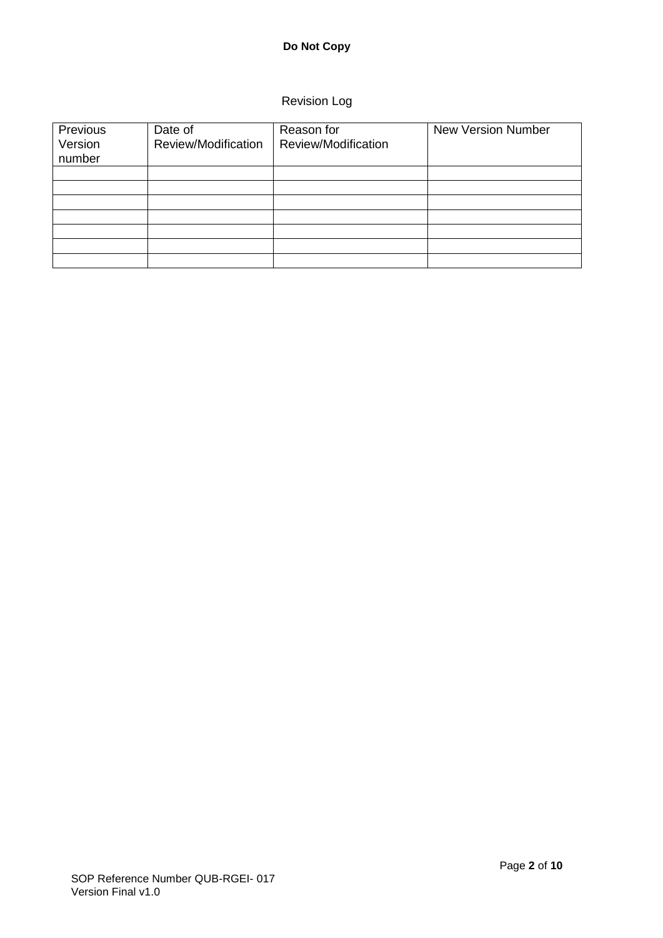# **Do Not Copy**

# Revision Log

| Previous<br>Version<br>number | Date of<br>Review/Modification | Reason for<br>Review/Modification | <b>New Version Number</b> |  |
|-------------------------------|--------------------------------|-----------------------------------|---------------------------|--|
|                               |                                |                                   |                           |  |
|                               |                                |                                   |                           |  |
|                               |                                |                                   |                           |  |
|                               |                                |                                   |                           |  |
|                               |                                |                                   |                           |  |
|                               |                                |                                   |                           |  |
|                               |                                |                                   |                           |  |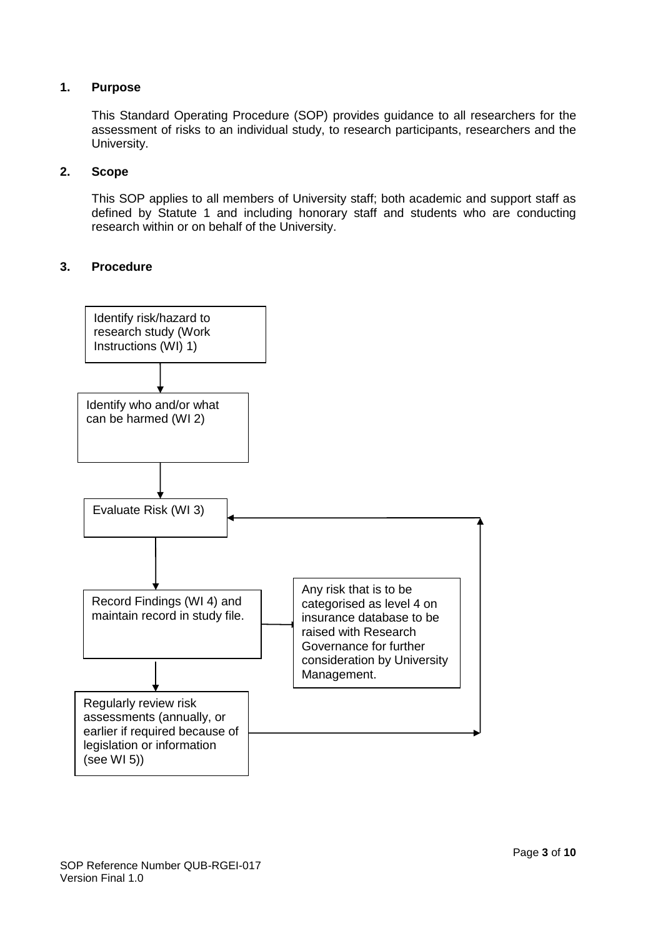# **1. Purpose**

This Standard Operating Procedure (SOP) provides guidance to all researchers for the assessment of risks to an individual study, to research participants, researchers and the University.

### **2. Scope**

This SOP applies to all members of University staff; both academic and support staff as defined by Statute 1 and including honorary staff and students who are conducting research within or on behalf of the University.

## **3. Procedure**

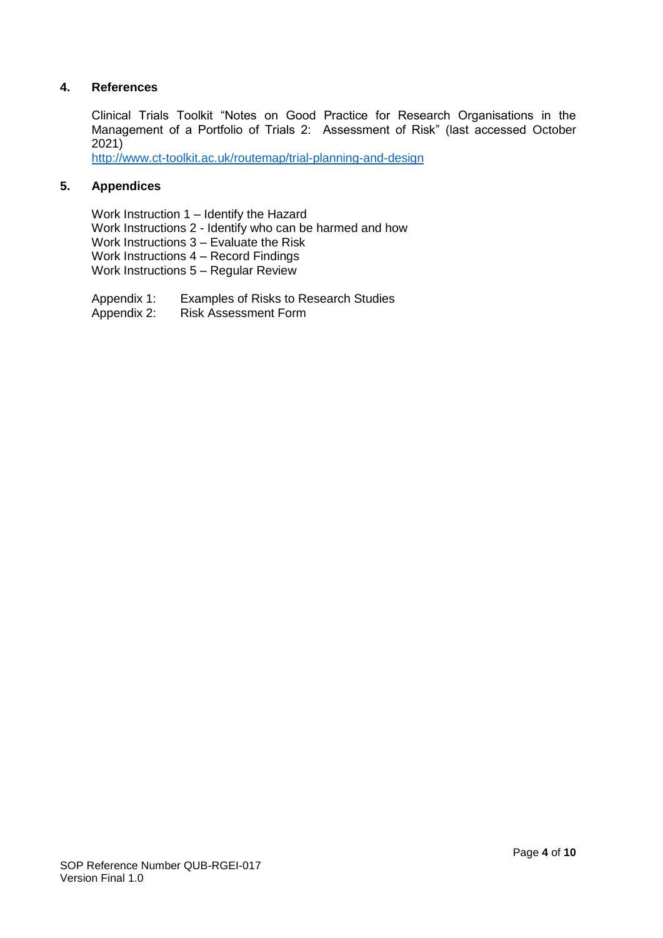# **4. References**

Clinical Trials Toolkit "Notes on Good Practice for Research Organisations in the Management of a Portfolio of Trials 2: Assessment of Risk" (last accessed October 2021)

<http://www.ct-toolkit.ac.uk/routemap/trial-planning-and-design>

# **5. Appendices**

Work Instruction 1 – Identify the Hazard Work Instructions 2 - Identify who can be harmed and how Work Instructions 3 – Evaluate the Risk Work Instructions 4 – Record Findings Work Instructions 5 – Regular Review

- Appendix 1: Examples of Risks to Research Studies
- Appendix 2: Risk Assessment Form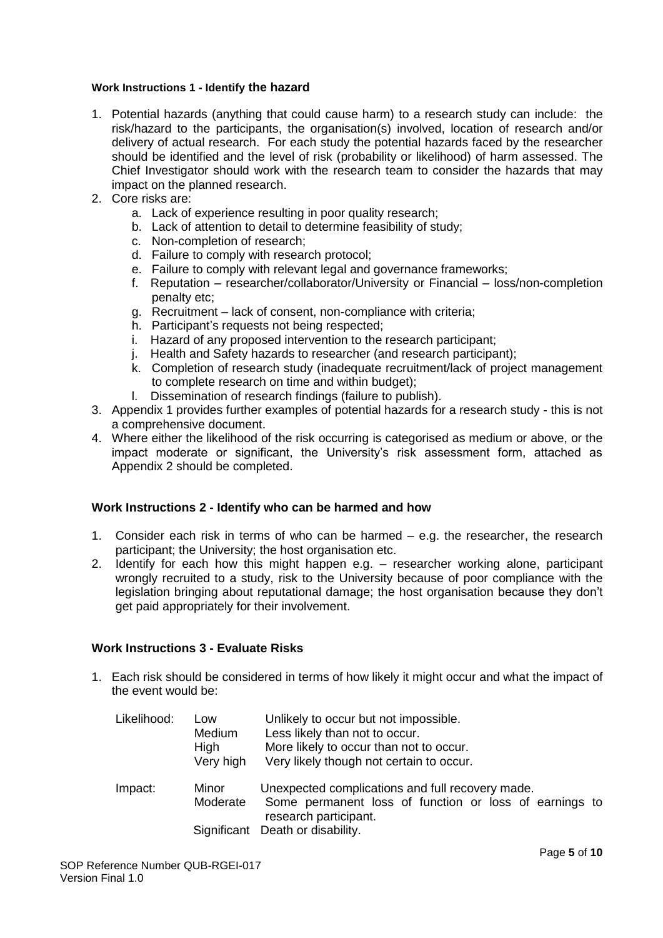#### **Work Instructions 1 - Identify the hazard**

- 1. Potential hazards (anything that could cause harm) to a research study can include: the risk/hazard to the participants, the organisation(s) involved, location of research and/or delivery of actual research. For each study the potential hazards faced by the researcher should be identified and the level of risk (probability or likelihood) of harm assessed. The Chief Investigator should work with the research team to consider the hazards that may impact on the planned research.
- 2. Core risks are:
	- a. Lack of experience resulting in poor quality research;
	- b. Lack of attention to detail to determine feasibility of study;
	- c. Non-completion of research;
	- d. Failure to comply with research protocol;
	- e. Failure to comply with relevant legal and governance frameworks;
	- f. Reputation researcher/collaborator/University or Financial loss/non-completion penalty etc;
	- g. Recruitment lack of consent, non-compliance with criteria;
	- h. Participant's requests not being respected;
	- i. Hazard of any proposed intervention to the research participant;
	- j. Health and Safety hazards to researcher (and research participant);
	- k. Completion of research study (inadequate recruitment/lack of project management to complete research on time and within budget);
	- l. Dissemination of research findings (failure to publish).
- 3. Appendix 1 provides further examples of potential hazards for a research study this is not a comprehensive document.
- 4. Where either the likelihood of the risk occurring is categorised as medium or above, or the impact moderate or significant, the University's risk assessment form, attached as Appendix 2 should be completed.

#### **Work Instructions 2 - Identify who can be harmed and how**

- 1. Consider each risk in terms of who can be harmed  $-$  e.g. the researcher, the research participant; the University; the host organisation etc.
- 2. Identify for each how this might happen e.g. researcher working alone, participant wrongly recruited to a study, risk to the University because of poor compliance with the legislation bringing about reputational damage; the host organisation because they don't get paid appropriately for their involvement.

## **Work Instructions 3 - Evaluate Risks**

1. Each risk should be considered in terms of how likely it might occur and what the impact of the event would be:

| Likelihood: | Low<br>Medium<br>High<br>Very high | Unlikely to occur but not impossible.<br>Less likely than not to occur.<br>More likely to occur than not to occur.<br>Very likely though not certain to occur.          |
|-------------|------------------------------------|-------------------------------------------------------------------------------------------------------------------------------------------------------------------------|
| Impact:     | Minor<br>Moderate                  | Unexpected complications and full recovery made.<br>Some permanent loss of function or loss of earnings to<br>research participant.<br>Significant Death or disability. |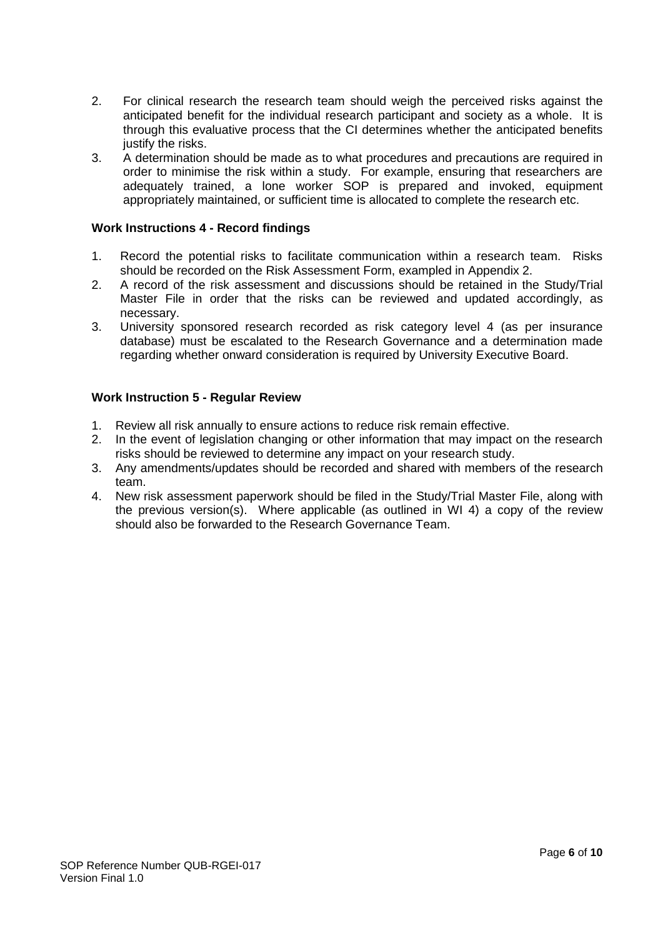- 2. For clinical research the research team should weigh the perceived risks against the anticipated benefit for the individual research participant and society as a whole. It is through this evaluative process that the CI determines whether the anticipated benefits justify the risks.
- 3. A determination should be made as to what procedures and precautions are required in order to minimise the risk within a study. For example, ensuring that researchers are adequately trained, a lone worker SOP is prepared and invoked, equipment appropriately maintained, or sufficient time is allocated to complete the research etc.

## **Work Instructions 4 - Record findings**

- 1. Record the potential risks to facilitate communication within a research team. Risks should be recorded on the Risk Assessment Form, exampled in Appendix 2.
- 2. A record of the risk assessment and discussions should be retained in the Study/Trial Master File in order that the risks can be reviewed and updated accordingly, as necessary.
- 3. University sponsored research recorded as risk category level 4 (as per insurance database) must be escalated to the Research Governance and a determination made regarding whether onward consideration is required by University Executive Board.

## **Work Instruction 5 - Regular Review**

- 1. Review all risk annually to ensure actions to reduce risk remain effective.
- 2. In the event of legislation changing or other information that may impact on the research risks should be reviewed to determine any impact on your research study.
- 3. Any amendments/updates should be recorded and shared with members of the research team.
- 4. New risk assessment paperwork should be filed in the Study/Trial Master File, along with the previous version(s). Where applicable (as outlined in WI 4) a copy of the review should also be forwarded to the Research Governance Team.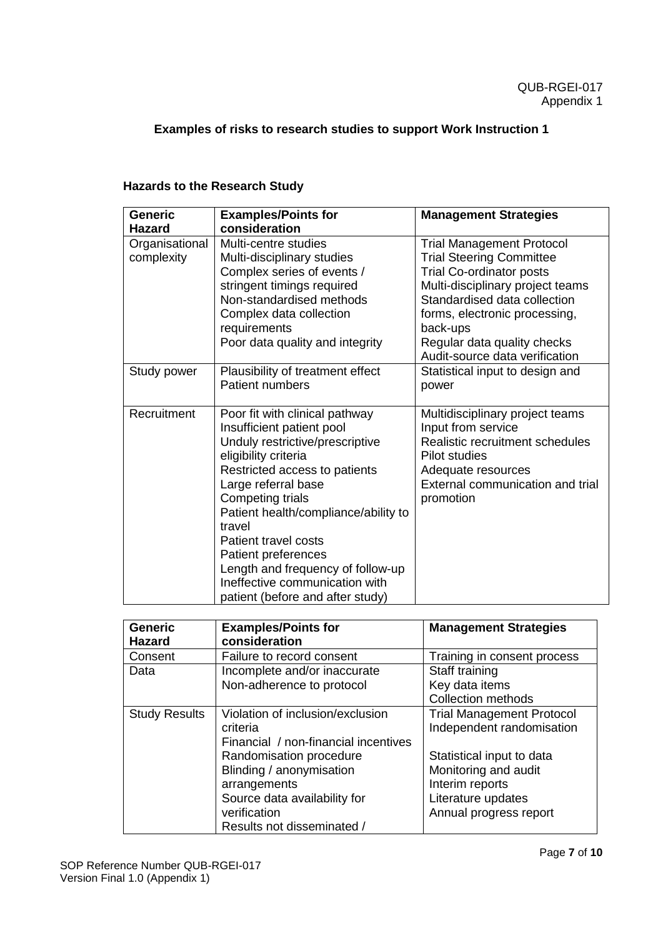# **Examples of risks to research studies to support Work Instruction 1**

# **Hazards to the Research Study**

| <b>Generic</b> | <b>Examples/Points for</b>           | <b>Management Strategies</b>     |
|----------------|--------------------------------------|----------------------------------|
| <b>Hazard</b>  | consideration                        |                                  |
| Organisational | Multi-centre studies                 | <b>Trial Management Protocol</b> |
| complexity     | Multi-disciplinary studies           | <b>Trial Steering Committee</b>  |
|                | Complex series of events /           | <b>Trial Co-ordinator posts</b>  |
|                | stringent timings required           | Multi-disciplinary project teams |
|                | Non-standardised methods             | Standardised data collection     |
|                | Complex data collection              | forms, electronic processing,    |
|                | requirements                         | back-ups                         |
|                | Poor data quality and integrity      | Regular data quality checks      |
|                |                                      | Audit-source data verification   |
| Study power    | Plausibility of treatment effect     | Statistical input to design and  |
|                | <b>Patient numbers</b>               | power                            |
|                |                                      |                                  |
| Recruitment    | Poor fit with clinical pathway       | Multidisciplinary project teams  |
|                | Insufficient patient pool            | Input from service               |
|                | Unduly restrictive/prescriptive      | Realistic recruitment schedules  |
|                | eligibility criteria                 | <b>Pilot studies</b>             |
|                | Restricted access to patients        | Adequate resources               |
|                | Large referral base                  | External communication and trial |
|                | Competing trials                     | promotion                        |
|                | Patient health/compliance/ability to |                                  |
|                | travel                               |                                  |
|                | Patient travel costs                 |                                  |
|                | <b>Patient preferences</b>           |                                  |
|                | Length and frequency of follow-up    |                                  |
|                | Ineffective communication with       |                                  |
|                | patient (before and after study)     |                                  |

| <b>Generic</b><br><b>Hazard</b> | <b>Examples/Points for</b><br>consideration | <b>Management Strategies</b>     |
|---------------------------------|---------------------------------------------|----------------------------------|
| Consent                         | Failure to record consent                   | Training in consent process      |
| Data                            | Incomplete and/or inaccurate                | Staff training                   |
|                                 | Non-adherence to protocol                   | Key data items                   |
|                                 |                                             | <b>Collection methods</b>        |
| <b>Study Results</b>            | Violation of inclusion/exclusion            | <b>Trial Management Protocol</b> |
|                                 | criteria                                    | Independent randomisation        |
|                                 | Financial / non-financial incentives        |                                  |
|                                 | Randomisation procedure                     | Statistical input to data        |
|                                 | Blinding / anonymisation                    | Monitoring and audit             |
|                                 | arrangements                                | Interim reports                  |
|                                 | Source data availability for                | Literature updates               |
|                                 | verification                                | Annual progress report           |
|                                 | Results not disseminated /                  |                                  |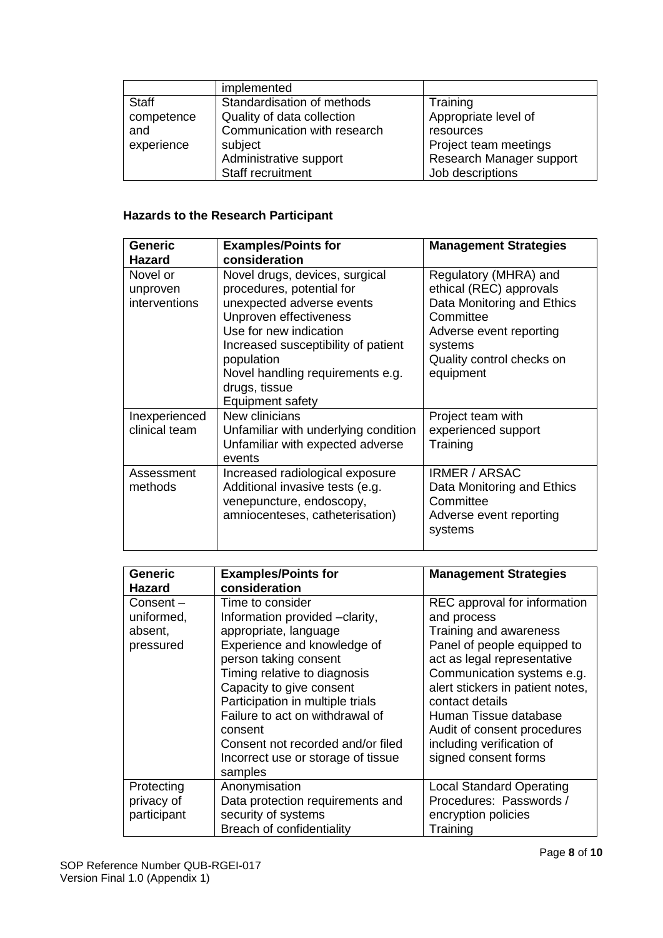|              | implemented                 |                          |
|--------------|-----------------------------|--------------------------|
| <b>Staff</b> | Standardisation of methods  | Training                 |
| competence   | Quality of data collection  | Appropriate level of     |
| and          | Communication with research | resources                |
| experience   | subject                     | Project team meetings    |
|              | Administrative support      | Research Manager support |
|              | Staff recruitment           | Job descriptions         |

# **Hazards to the Research Participant**

| <b>Generic</b><br>Hazard              | <b>Examples/Points for</b><br>consideration                                                                                                                                                                                                                                | <b>Management Strategies</b>                                                                                                                                                |
|---------------------------------------|----------------------------------------------------------------------------------------------------------------------------------------------------------------------------------------------------------------------------------------------------------------------------|-----------------------------------------------------------------------------------------------------------------------------------------------------------------------------|
| Novel or<br>unproven<br>interventions | Novel drugs, devices, surgical<br>procedures, potential for<br>unexpected adverse events<br>Unproven effectiveness<br>Use for new indication<br>Increased susceptibility of patient<br>population<br>Novel handling requirements e.g.<br>drugs, tissue<br>Equipment safety | Regulatory (MHRA) and<br>ethical (REC) approvals<br>Data Monitoring and Ethics<br>Committee<br>Adverse event reporting<br>systems<br>Quality control checks on<br>equipment |
| Inexperienced<br>clinical team        | New clinicians<br>Unfamiliar with underlying condition<br>Unfamiliar with expected adverse<br>events                                                                                                                                                                       | Project team with<br>experienced support<br>Training                                                                                                                        |
| Assessment<br>methods                 | Increased radiological exposure<br>Additional invasive tests (e.g.<br>venepuncture, endoscopy,<br>amniocenteses, catheterisation)                                                                                                                                          | <b>IRMER / ARSAC</b><br>Data Monitoring and Ethics<br>Committee<br>Adverse event reporting<br>systems                                                                       |

| <b>Generic</b>                                 | <b>Examples/Points for</b>                                                                                                                                                                                                                                                                                                                                              | <b>Management Strategies</b>                                                                                                                                                                                                                                                                                                          |
|------------------------------------------------|-------------------------------------------------------------------------------------------------------------------------------------------------------------------------------------------------------------------------------------------------------------------------------------------------------------------------------------------------------------------------|---------------------------------------------------------------------------------------------------------------------------------------------------------------------------------------------------------------------------------------------------------------------------------------------------------------------------------------|
| <b>Hazard</b>                                  | consideration                                                                                                                                                                                                                                                                                                                                                           |                                                                                                                                                                                                                                                                                                                                       |
| Consent-<br>uniformed,<br>absent,<br>pressured | Time to consider<br>Information provided -clarity,<br>appropriate, language<br>Experience and knowledge of<br>person taking consent<br>Timing relative to diagnosis<br>Capacity to give consent<br>Participation in multiple trials<br>Failure to act on withdrawal of<br>consent<br>Consent not recorded and/or filed<br>Incorrect use or storage of tissue<br>samples | REC approval for information<br>and process<br>Training and awareness<br>Panel of people equipped to<br>act as legal representative<br>Communication systems e.g.<br>alert stickers in patient notes,<br>contact details<br>Human Tissue database<br>Audit of consent procedures<br>including verification of<br>signed consent forms |
| Protecting                                     | Anonymisation                                                                                                                                                                                                                                                                                                                                                           | <b>Local Standard Operating</b>                                                                                                                                                                                                                                                                                                       |
| privacy of                                     | Data protection requirements and                                                                                                                                                                                                                                                                                                                                        | Procedures: Passwords /                                                                                                                                                                                                                                                                                                               |
| participant                                    | security of systems                                                                                                                                                                                                                                                                                                                                                     | encryption policies                                                                                                                                                                                                                                                                                                                   |
|                                                | Breach of confidentiality                                                                                                                                                                                                                                                                                                                                               | Training                                                                                                                                                                                                                                                                                                                              |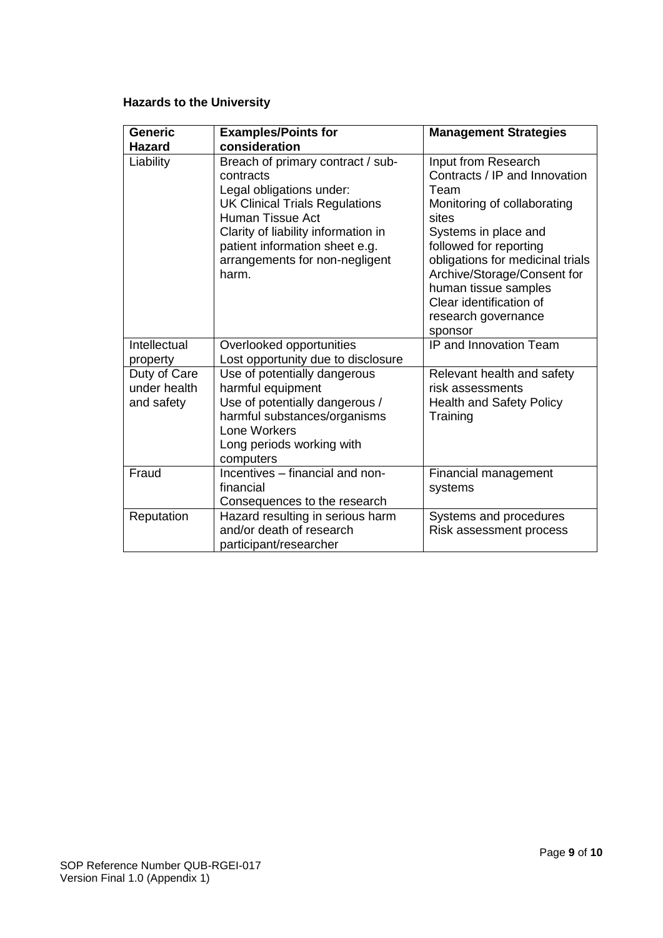# **Hazards to the University**

| <b>Generic</b><br>Hazard                   | <b>Examples/Points for</b><br>consideration                                                                                                                                                                                                                        | <b>Management Strategies</b>                                                                                                                                                                                                                                                                                   |
|--------------------------------------------|--------------------------------------------------------------------------------------------------------------------------------------------------------------------------------------------------------------------------------------------------------------------|----------------------------------------------------------------------------------------------------------------------------------------------------------------------------------------------------------------------------------------------------------------------------------------------------------------|
| Liability                                  | Breach of primary contract / sub-<br>contracts<br>Legal obligations under:<br><b>UK Clinical Trials Regulations</b><br><b>Human Tissue Act</b><br>Clarity of liability information in<br>patient information sheet e.g.<br>arrangements for non-negligent<br>harm. | Input from Research<br>Contracts / IP and Innovation<br>Team<br>Monitoring of collaborating<br>sites<br>Systems in place and<br>followed for reporting<br>obligations for medicinal trials<br>Archive/Storage/Consent for<br>human tissue samples<br>Clear identification of<br>research governance<br>sponsor |
| Intellectual<br>property                   | Overlooked opportunities<br>Lost opportunity due to disclosure                                                                                                                                                                                                     | IP and Innovation Team                                                                                                                                                                                                                                                                                         |
| Duty of Care<br>under health<br>and safety | Use of potentially dangerous<br>harmful equipment<br>Use of potentially dangerous /<br>harmful substances/organisms<br>Lone Workers<br>Long periods working with<br>computers                                                                                      | Relevant health and safety<br>risk assessments<br><b>Health and Safety Policy</b><br>Training                                                                                                                                                                                                                  |
| Fraud                                      | Incentives - financial and non-<br>financial<br>Consequences to the research                                                                                                                                                                                       | Financial management<br>systems                                                                                                                                                                                                                                                                                |
| Reputation                                 | Hazard resulting in serious harm<br>and/or death of research<br>participant/researcher                                                                                                                                                                             | Systems and procedures<br>Risk assessment process                                                                                                                                                                                                                                                              |